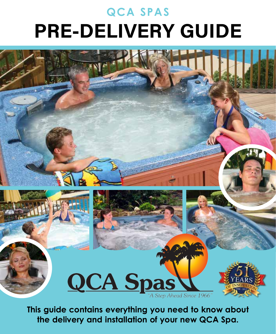# **QCA SPAS PRE-DELIVERY GUIDE**





**This guide contains everything you need to know about the delivery and installation of your new QCA Spa.**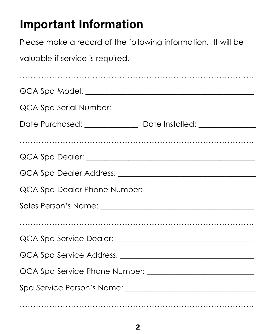## **Important Information**

Please make a record of the following information. It will be

valuable if service is required.

| Date Purchased: _________________ Date Installed: ______________________________ |  |  |  |  |  |  |  |
|----------------------------------------------------------------------------------|--|--|--|--|--|--|--|
|                                                                                  |  |  |  |  |  |  |  |
|                                                                                  |  |  |  |  |  |  |  |
|                                                                                  |  |  |  |  |  |  |  |
|                                                                                  |  |  |  |  |  |  |  |
|                                                                                  |  |  |  |  |  |  |  |
|                                                                                  |  |  |  |  |  |  |  |
|                                                                                  |  |  |  |  |  |  |  |
|                                                                                  |  |  |  |  |  |  |  |
|                                                                                  |  |  |  |  |  |  |  |
|                                                                                  |  |  |  |  |  |  |  |
|                                                                                  |  |  |  |  |  |  |  |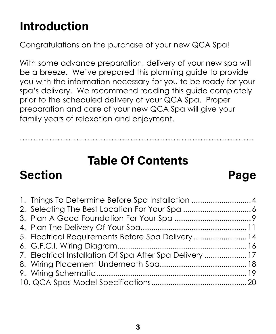## **Introduction**

Congratulations on the purchase of your new QCA Spa!

With some advance preparation, delivery of your new spa will be a breeze. We've prepared this planning guide to provide you with the information necessary for you to be ready for your spa's delivery. We recommend reading this guide completely prior to the scheduled delivery of your QCA Spa. Proper preparation and care of your new QCA Spa will give your family years of relaxation and enjoyment.

## **Table Of Contents**

.......................................................................................

## **Section Page**

#### 1. Things To Determine Before Spa Installation ..............................4 2. Selecting The Best Location For Your Spa ................................6 3. Plan A Good Foundation For Your Spa ....................................9 4. Plan The Delivery Of Your Spa..................................................11 5. Electrical Requirements Before Spa Delivery .........................14 6. G.F.C.I. Wiring Diagram.............................................................16 7. Electrical Installation Of Spa After Spa Delivery ....................17 8. Wiring Placement Underneath Spa.........................................18 9. Wiring Schematic.......................................................................19 10. QCA Spas Model Specifications.............................................20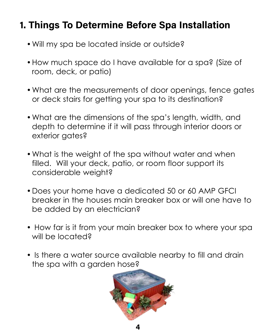## **1. Things To Determine Before Spa Installation**

- Will my spa be located inside or outside?
- How much space do I have available for a spa? (Size of room, deck, or patio)
- What are the measurements of door openings, fence gates or deck stairs for getting your spa to its destination?
- What are the dimensions of the spa's length, width, and depth to determine if it will pass through interior doors or exterior gates?
- What is the weight of the spa without water and when filled. Will your deck, patio, or room floor support its considerable weight?
- Does your home have a dedicated 50 or 60 AMP GFCI breaker in the houses main breaker box or will one have to be added by an electrician?
- How far is it from your main breaker box to where your spa will be located?
- Is there a water source available nearby to fill and drain the spa with a garden hose?

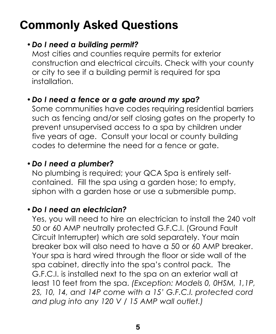## **Commonly Asked Questions**

#### y *Do I need a building permit?*

Most cities and counties require permits for exterior construction and electrical circuits. Check with your county or city to see if a building permit is required for spa installation.

#### y *Do I need a fence or a gate around my spa?*

Some communities have codes requiring residential barriers such as fencing and/or self closing gates on the property to prevent unsupervised access to a spa by children under five years of age. Consult your local or county building codes to determine the need for a fence or gate.

#### y *Do I need a plumber?*

No plumbing is required; your QCA Spa is entirely selfcontained. Fill the spa using a garden hose; to empty, siphon with a garden hose or use a submersible pump.

#### y *Do I need an electrician?*

Yes, you will need to hire an electrician to install the 240 volt 50 or 60 AMP neutrally protected G.F.C.I. (Ground Fault Circuit Interrupter) which are sold separately. Your main breaker box will also need to have a 50 or 60 AMP breaker. Your spa is hard wired through the floor or side wall of the spa cabinet, directly into the spa's control pack. The G.F.C.I. is installed next to the spa on an exterior wall at least 10 feet from the spa. *(Exception: Models 0, 0HSM, 1,1P, 2S, 10, 14, and 14P come with a 15' G.F.C.I. protected cord and plug into any 120 V / 15 AMP wall outlet.)*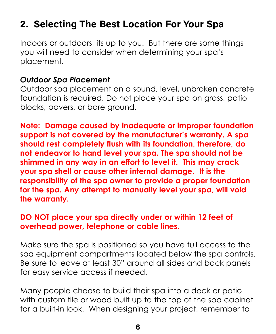## **2. Selecting The Best Location For Your Spa**

Indoors or outdoors, its up to you. But there are some things you will need to consider when determining your spa's placement.

#### *Outdoor Spa Placement*

Outdoor spa placement on a sound, level, unbroken concrete foundation is required. Do not place your spa on grass, patio blocks, pavers, or bare ground.

**Note: Damage caused by inadequate or improper foundation support is not covered by the manufacturer's warranty. A spa should rest completely flush with its foundation, therefore, do not endeavor to hand level your spa. The spa should not be shimmed in any way in an effort to level it. This may crack your spa shell or cause other internal damage. It is the responsibility of the spa owner to provide a proper foundation for the spa. Any attempt to manually level your spa, will void the warranty.**

#### **DO NOT place your spa directly under or within 12 feet of overhead power, telephone or cable lines.**

Make sure the spa is positioned so you have full access to the spa equipment compartments located below the spa controls. Be sure to leave at least 30" around all sides and back panels for easy service access if needed.

Many people choose to build their spa into a deck or patio with custom tile or wood built up to the top of the spa cabinet for a built-in look. When designing your project, remember to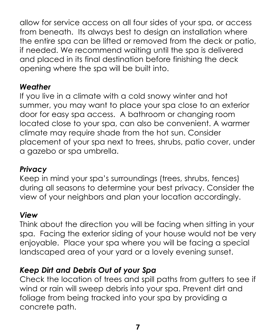allow for service access on all four sides of your spa, or access from beneath. Its always best to design an installation where the entire spa can be lifted or removed from the deck or patio, if needed. We recommend waiting until the spa is delivered and placed in its final destination before finishing the deck opening where the spa will be built into.

#### *Weather*

If you live in a climate with a cold snowy winter and hot summer, you may want to place your spa close to an exterior door for easy spa access. A bathroom or changing room located close to your spa, can also be convenient. A warmer climate may require shade from the hot sun. Consider placement of your spa next to trees, shrubs, patio cover, under a gazebo or spa umbrella.

#### *Privacy*

Keep in mind your spa's surroundings (trees, shrubs, fences) during all seasons to determine your best privacy. Consider the view of your neighbors and plan your location accordingly.

#### *View*

Think about the direction you will be facing when sitting in your spa. Facing the exterior siding of your house would not be very enjoyable. Place your spa where you will be facing a special landscaped area of your yard or a lovely evening sunset.

#### *Keep Dirt and Debris Out of your Spa*

Check the location of trees and spill paths from gutters to see if wind or rain will sweep debris into your spa. Prevent dirt and foliage from being tracked into your spa by providing a concrete path.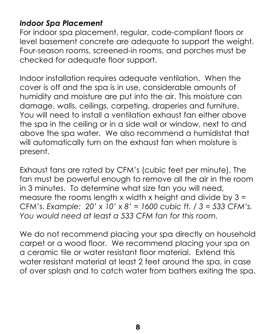#### *Indoor Spa Placement*

For indoor spa placement, regular, code-compliant floors or level basement concrete are adequate to support the weight. Four-season rooms, screened-in rooms, and porches must be checked for adequate floor support.

Indoor installation requires adequate ventilation. When the cover is off and the spa is in use, considerable amounts of humidity and moisture are put into the air. This moisture can damage, walls, ceilings, carpeting, draperies and furniture. You will need to install a ventilation exhaust fan either above the spa in the ceiling or in a side wall or window, next to and above the spa water. We also recommend a humidistat that will automatically turn on the exhaust fan when moisture is present.

Exhaust fans are rated by CFM's (cubic feet per minute). The fan must be powerful enough to remove all the air in the room in 3 minutes. To determine what size fan you will need, measure the rooms length x width x height and divide by  $3 =$ CFM's. *Example: 20' x 10' x 8' = 1600 cubic ft. / 3 = 533 CFM's. You would need at least a 533 CFM fan for this room.*

We do not recommend placing your spa directly on household carpet or a wood floor. We recommend placing your spa on a ceramic tile or water resistant floor material. Extend this water resistant material at least 2 feet around the spa, in case of over splash and to catch water from bathers exiting the spa.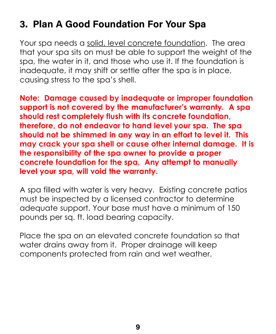### **3. Plan A Good Foundation For Your Spa**

Your spa needs a solid, level concrete foundation. The area that your spa sits on must be able to support the weight of the spa, the water in it, and those who use it. If the foundation is inadequate, it may shift or settle after the spa is in place, causing stress to the spa's shell.

**Note: Damage caused by inadequate or improper foundation support is not covered by the manufacturer's warranty. A spa should rest completely flush with its concrete foundation, therefore, do not endeavor to hand level your spa. The spa should not be shimmed in any way in an effort to level it. This may crack your spa shell or cause other internal damage. It is the responsibility of the spa owner to provide a proper concrete foundation for the spa. Any attempt to manually level your spa, will void the warranty.**

A spa filled with water is very heavy. Existing concrete patios must be inspected by a licensed contractor to determine adequate support. Your base must have a minimum of 150 pounds per sq. ft. load bearing capacity.

Place the spa on an elevated concrete foundation so that water drains away from it. Proper drainage will keep components protected from rain and wet weather.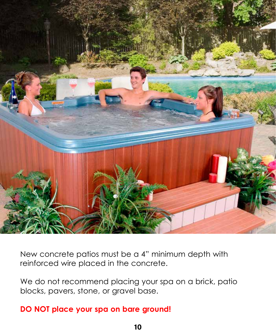

New concrete patios must be a 4" minimum depth with reinforced wire placed in the concrete.

We do not recommend placing your spa on a brick, patio blocks, pavers, stone, or gravel base.

#### **DO NOT place your spa on bare ground!**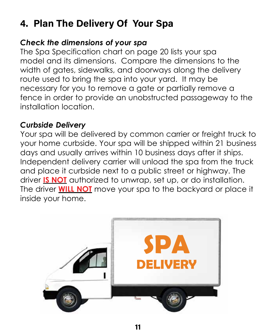## **4. Plan The Delivery Of Your Spa**

#### *Check the dimensions of your spa*

The Spa Specification chart on page 20 lists your spa model and its dimensions. Compare the dimensions to the width of gates, sidewalks, and doorways along the delivery route used to bring the spa into your yard. It may be necessary for you to remove a gate or partially remove a fence in order to provide an unobstructed passageway to the installation location.

#### *Curbside Delivery*

Your spa will be delivered by common carrier or freight truck to your home curbside. Your spa will be shipped within 21 business days and usually arrives within 10 business days after it ships. Independent delivery carrier will unload the spa from the truck and place it curbside next to a public street or highway. The driver **IS NOT** authorized to unwrap, set up, or do installation. The driver **WILL NOT** move your spa to the backyard or place it inside your home.

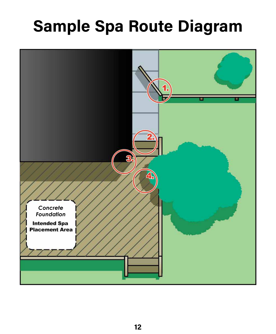# **Sample Spa Route Diagram**

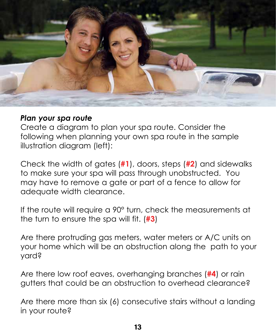

#### *Plan your spa route*

Create a diagram to plan your spa route. Consider the following when planning your own spa route in the sample illustration diagram (left):

Check the width of gates (**#1**), doors, steps (**#2**) and sidewalks to make sure your spa will pass through unobstructed. You may have to remove a gate or part of a fence to allow for adequate width clearance.

If the route will require a 90° turn, check the measurements at the turn to ensure the spa will fit. (**#3**)

Are there protruding gas meters, water meters or A/C units on your home which will be an obstruction along the path to your yard?

Are there low roof eaves, overhanging branches (**#4**) or rain gutters that could be an obstruction to overhead clearance?

Are there more than six (6) consecutive stairs without a landing in your route?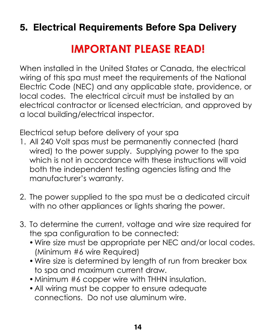## **5. Electrical Requirements Before Spa Delivery**

## **IMPORTANT PLEASE READ!**

When installed in the United States or Canada, the electrical wiring of this spa must meet the requirements of the National Electric Code (NEC) and any applicable state, providence, or local codes. The electrical circuit must be installed by an electrical contractor or licensed electrician, and approved by a local building/electrical inspector.

Electrical setup before delivery of your spa

- 1. All 240 Volt spas must be permanently connected (hard wired) to the power supply. Supplying power to the spa which is not in accordance with these instructions will void both the independent testing agencies listing and the manufacturer's warranty.
- 2. The power supplied to the spa must be a dedicated circuit with no other appliances or lights sharing the power.
- 3. To determine the current, voltage and wire size required for the spa configuration to be connected:
	- Wire size must be appropriate per NEC and/or local codes. (Minimum #6 wire Required)
	- Wire size is determined by length of run from breaker box to spa and maximum current draw.
	- Minimum #6 copper wire with THHN insulation.
	- All wiring must be copper to ensure adequate connections. Do not use aluminum wire.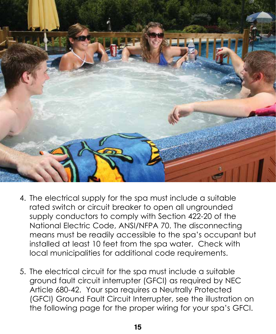

- 4. The electrical supply for the spa must include a suitable rated switch or circuit breaker to open all ungrounded supply conductors to comply with Section 422-20 of the National Electric Code, ANSI/NFPA 70. The disconnecting means must be readily accessible to the spa's occupant but installed at least 10 feet from the spa water. Check with local municipalities for additional code requirements.
- 5. The electrical circuit for the spa must include a suitable ground fault circuit interrupter (GFCI) as required by NEC Article 680-42. Your spa requires a Neutrally Protected (GFCI) Ground Fault Circuit Interrupter, see the illustration on the following page for the proper wiring for your spa's GFCI.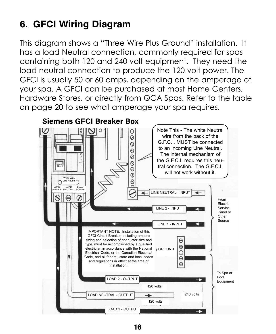## **6. GFCI Wiring Diagram**

This diagram shows a "Three Wire Plus Ground" installation. It has a load Neutral connection, commonly required for spas containing both 120 and 240 volt equipment. They need the load neutral connection to produce the 120 volt power. The GFCI is usually 50 or 60 amps, depending on the amperage of your spa. A GFCI can be purchased at most Home Centers, Hardware Stores, or directly from QCA Spas. Refer to the table on page 20 to see what amperage your spa requires.

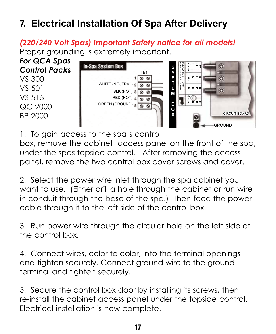## **7. Electrical Installation Of Spa After Delivery**

*(220/240 Volt Spas) Important Safety notice for all models!* Proper grounding is extremely important.

*For QCA Spas Control Packs* VS 300 VS 501 VS 515 QC 2000 BP 2000



1. To gain access to the spa's control

box, remove the cabinet access panel on the front of the spa, under the spas topside control. After removing the access panel, remove the two control box cover screws and cover.

2. Select the power wire inlet through the spa cabinet you want to use. (Either drill a hole through the cabinet or run wire in conduit through the base of the spa.) Then feed the power cable through it to the left side of the control box.

3. Run power wire through the circular hole on the left side of the control box.

4. Connect wires, color to color, into the terminal openings and tighten securely. Connect ground wire to the ground terminal and tighten securely.

5. Secure the control box door by installing its screws, then re-install the cabinet access panel under the topside control. Electrical installation is now complete.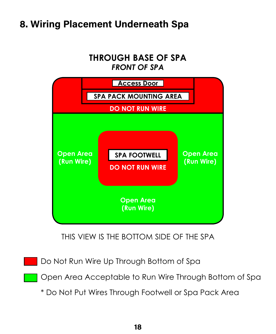## **8. Wiring Placement Underneath Spa**

#### **THROUGH BASE OF SPA** *FRONT OF SPA*



THIS VIEW IS THE BOTTOM SIDE OF THE SPA

Do Not Run Wire Up Through Bottom of Spa

Open Area Acceptable to Run Wire Through Bottom of Spa

\* Do Not Put Wires Through Footwell or Spa Pack Area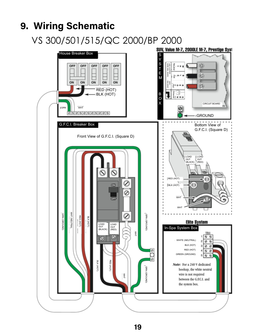### **9. Wiring Schematic**

VS 300/501/515/QC 2000/BP 2000